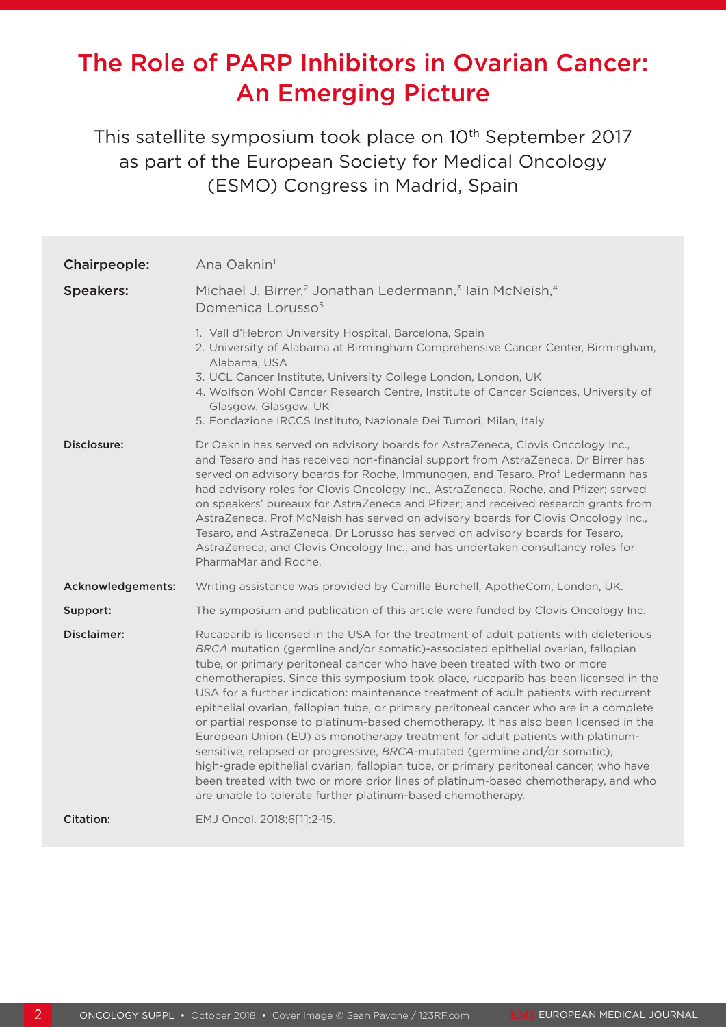# The Role of PARP Inhibitors in Ovarian Cancer: An Emerging Picture

This satellite symposium took place on 10<sup>th</sup> September 2017 as part of the European Society for Medical Oncology (ESMO) Congress in Madrid, Spain

| Chairpeople:      | Ana Oaknin <sup>1</sup>                                                                                                                                                                                                                                                                                                                                                                                                                                                                                                                                                                                                                                                                                                                                                                                                                                                                                                                                                                                                               |
|-------------------|---------------------------------------------------------------------------------------------------------------------------------------------------------------------------------------------------------------------------------------------------------------------------------------------------------------------------------------------------------------------------------------------------------------------------------------------------------------------------------------------------------------------------------------------------------------------------------------------------------------------------------------------------------------------------------------------------------------------------------------------------------------------------------------------------------------------------------------------------------------------------------------------------------------------------------------------------------------------------------------------------------------------------------------|
| <b>Speakers:</b>  | Michael J. Birrer, <sup>2</sup> Jonathan Ledermann, <sup>3</sup> lain McNeish, <sup>4</sup><br>Domenica Lorusso <sup>5</sup>                                                                                                                                                                                                                                                                                                                                                                                                                                                                                                                                                                                                                                                                                                                                                                                                                                                                                                          |
|                   | 1. Vall d'Hebron University Hospital, Barcelona, Spain<br>2. University of Alabama at Birmingham Comprehensive Cancer Center, Birmingham,<br>Alabama, USA<br>3. UCL Cancer Institute, University College London, London, UK<br>4. Wolfson Wohl Cancer Research Centre, Institute of Cancer Sciences, University of<br>Glasgow, Glasgow, UK<br>5. Fondazione IRCCS Instituto, Nazionale Dei Tumori, Milan, Italy                                                                                                                                                                                                                                                                                                                                                                                                                                                                                                                                                                                                                       |
| Disclosure:       | Dr Oaknin has served on advisory boards for AstraZeneca, Clovis Oncology Inc.,<br>and Tesaro and has received non-financial support from AstraZeneca. Dr Birrer has<br>served on advisory boards for Roche, Immunogen, and Tesaro. Prof Ledermann has<br>had advisory roles for Clovis Oncology Inc., AstraZeneca, Roche, and Pfizer; served<br>on speakers' bureaux for AstraZeneca and Pfizer; and received research grants from<br>AstraZeneca. Prof McNeish has served on advisory boards for Clovis Oncology Inc.,<br>Tesaro, and AstraZeneca. Dr Lorusso has served on advisory boards for Tesaro,<br>AstraZeneca, and Clovis Oncology Inc., and has undertaken consultancy roles for<br>PharmaMar and Roche.                                                                                                                                                                                                                                                                                                                   |
| Acknowledgements: | Writing assistance was provided by Camille Burchell, ApotheCom, London, UK.                                                                                                                                                                                                                                                                                                                                                                                                                                                                                                                                                                                                                                                                                                                                                                                                                                                                                                                                                           |
| Support:          | The symposium and publication of this article were funded by Clovis Oncology Inc.                                                                                                                                                                                                                                                                                                                                                                                                                                                                                                                                                                                                                                                                                                                                                                                                                                                                                                                                                     |
| Disclaimer:       | Rucaparib is licensed in the USA for the treatment of adult patients with deleterious<br>BRCA mutation (germline and/or somatic)-associated epithelial ovarian, fallopian<br>tube, or primary peritoneal cancer who have been treated with two or more<br>chemotherapies. Since this symposium took place, rucaparib has been licensed in the<br>USA for a further indication: maintenance treatment of adult patients with recurrent<br>epithelial ovarian, fallopian tube, or primary peritoneal cancer who are in a complete<br>or partial response to platinum-based chemotherapy. It has also been licensed in the<br>European Union (EU) as monotherapy treatment for adult patients with platinum-<br>sensitive, relapsed or progressive, BRCA-mutated (germline and/or somatic),<br>high-grade epithelial ovarian, fallopian tube, or primary peritoneal cancer, who have<br>been treated with two or more prior lines of platinum-based chemotherapy, and who<br>are unable to tolerate further platinum-based chemotherapy. |
| <b>Citation:</b>  | EMJ Oncol. 2018;6[1]:2-15.                                                                                                                                                                                                                                                                                                                                                                                                                                                                                                                                                                                                                                                                                                                                                                                                                                                                                                                                                                                                            |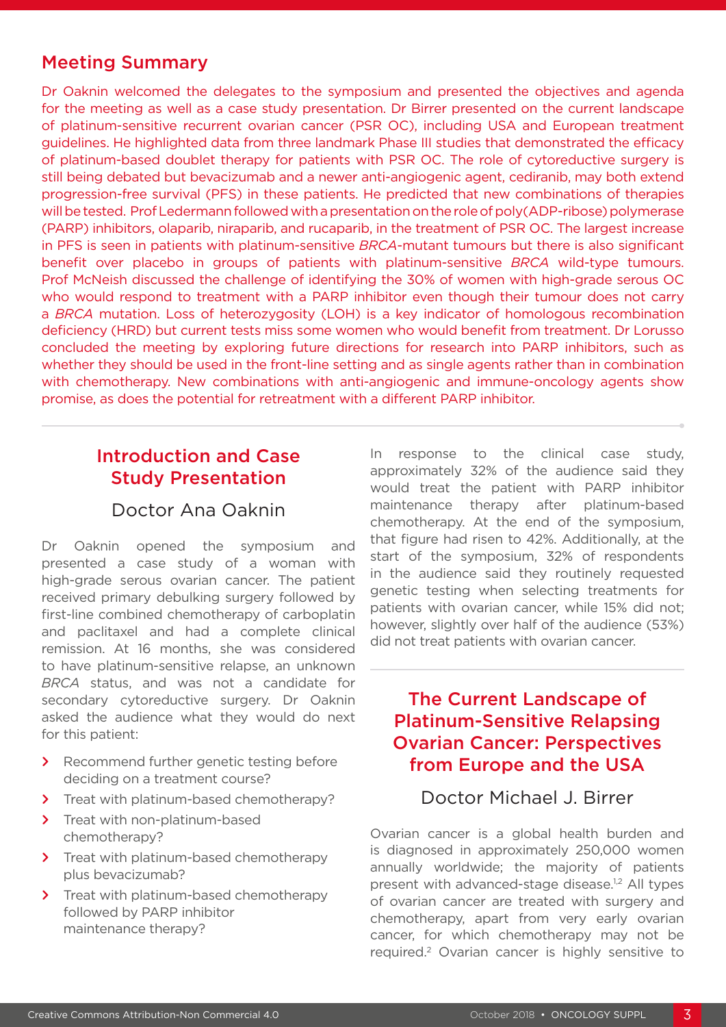### Meeting Summary

Dr Oaknin welcomed the delegates to the symposium and presented the objectives and agenda for the meeting as well as a case study presentation. Dr Birrer presented on the current landscape of platinum-sensitive recurrent ovarian cancer (PSR OC), including USA and European treatment guidelines. He highlighted data from three landmark Phase III studies that demonstrated the efficacy of platinum-based doublet therapy for patients with PSR OC. The role of cytoreductive surgery is still being debated but bevacizumab and a newer anti-angiogenic agent, cediranib, may both extend progression-free survival (PFS) in these patients. He predicted that new combinations of therapies will be tested. Prof Ledermann followed with a presentation on the role of poly(ADP-ribose) polymerase (PARP) inhibitors, olaparib, niraparib, and rucaparib, in the treatment of PSR OC. The largest increase in PFS is seen in patients with platinum-sensitive *BRCA*-mutant tumours but there is also significant benefit over placebo in groups of patients with platinum-sensitive *BRCA* wild-type tumours. Prof McNeish discussed the challenge of identifying the 30% of women with high-grade serous OC who would respond to treatment with a PARP inhibitor even though their tumour does not carry a *BRCA* mutation. Loss of heterozygosity (LOH) is a key indicator of homologous recombination deficiency (HRD) but current tests miss some women who would benefit from treatment. Dr Lorusso concluded the meeting by exploring future directions for research into PARP inhibitors, such as whether they should be used in the front-line setting and as single agents rather than in combination with chemotherapy. New combinations with anti-angiogenic and immune-oncology agents show promise, as does the potential for retreatment with a different PARP inhibitor.

# Introduction and Case Study Presentation

### Doctor Ana Oaknin

Dr Oaknin opened the symposium and presented a case study of a woman with high-grade serous ovarian cancer. The patient received primary debulking surgery followed by first-line combined chemotherapy of carboplatin and paclitaxel and had a complete clinical remission. At 16 months, she was considered to have platinum-sensitive relapse, an unknown *BRCA* status, and was not a candidate for secondary cytoreductive surgery. Dr Oaknin asked the audience what they would do next for this patient:

- **>** Recommend further genetic testing before deciding on a treatment course?
- **>** Treat with platinum-based chemotherapy?
- **>** Treat with non-platinum-based chemotherapy?
- **>** Treat with platinum-based chemotherapy plus bevacizumab?
- **>** Treat with platinum-based chemotherapy followed by PARP inhibitor maintenance therapy?

In response to the clinical case study, approximately 32% of the audience said they would treat the patient with PARP inhibitor maintenance therapy after platinum-based chemotherapy. At the end of the symposium, that figure had risen to 42%. Additionally, at the start of the symposium, 32% of respondents in the audience said they routinely requested genetic testing when selecting treatments for patients with ovarian cancer, while 15% did not; however, slightly over half of the audience (53%) did not treat patients with ovarian cancer.

## The Current Landscape of Platinum-Sensitive Relapsing Ovarian Cancer: Perspectives from Europe and the USA

### Doctor Michael J. Birrer

Ovarian cancer is a global health burden and is diagnosed in approximately 250,000 women annually worldwide; the majority of patients present with advanced-stage disease.<sup>1,2</sup> All types of ovarian cancer are treated with surgery and chemotherapy, apart from very early ovarian cancer, for which chemotherapy may not be required.2 Ovarian cancer is highly sensitive to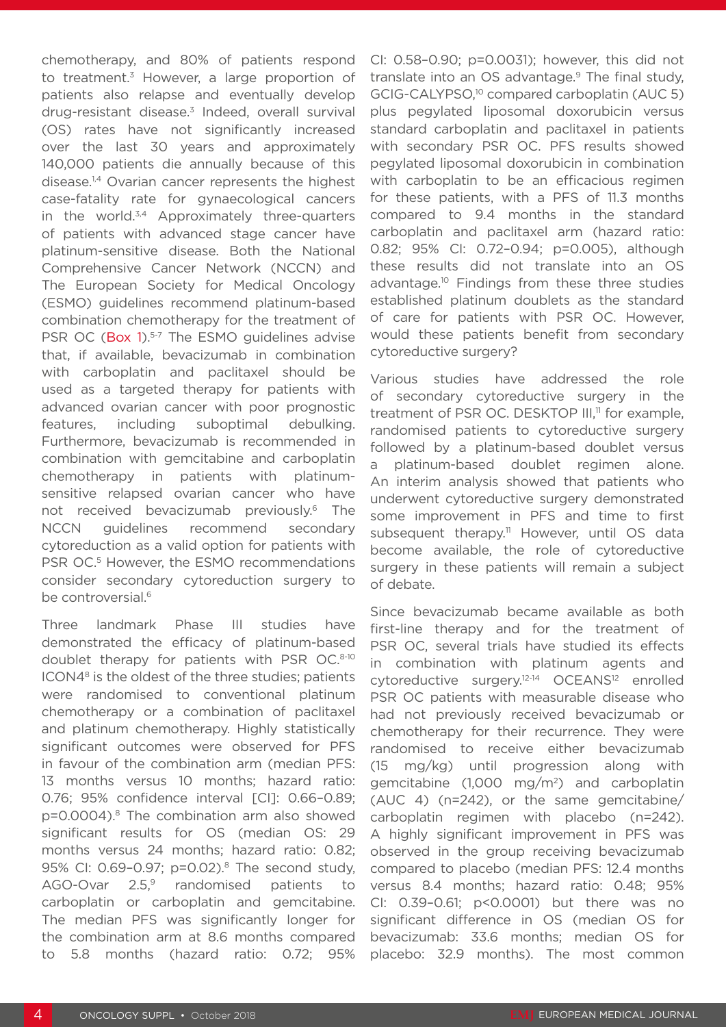chemotherapy, and 80% of patients respond to treatment.<sup>3</sup> However, a large proportion of patients also relapse and eventually develop drug-resistant disease.<sup>3</sup> Indeed, overall survival (OS) rates have not significantly increased over the last 30 years and approximately 140,000 patients die annually because of this disease.<sup>1,4</sup> Ovarian cancer represents the highest case-fatality rate for gynaecological cancers in the world.<sup>3,4</sup> Approximately three-quarters of patients with advanced stage cancer have platinum-sensitive disease. Both the National Comprehensive Cancer Network (NCCN) and The European Society for Medical Oncology (ESMO) guidelines recommend platinum-based combination chemotherapy for the treatment of PSR OC (Box 1).<sup>5-7</sup> The ESMO quidelines advise that, if available, bevacizumab in combination with carboplatin and paclitaxel should be used as a targeted therapy for patients with advanced ovarian cancer with poor prognostic features, including suboptimal debulking. Furthermore, bevacizumab is recommended in combination with gemcitabine and carboplatin chemotherapy in patients with platinumsensitive relapsed ovarian cancer who have not received bevacizumab previously.6 The NCCN guidelines recommend secondary cytoreduction as a valid option for patients with PSR OC.<sup>5</sup> However, the ESMO recommendations consider secondary cytoreduction surgery to be controversial $6$ 

Three landmark Phase III studies have demonstrated the efficacy of platinum-based doublet therapy for patients with PSR OC.8-10 ICON48 is the oldest of the three studies; patients were randomised to conventional platinum chemotherapy or a combination of paclitaxel and platinum chemotherapy. Highly statistically significant outcomes were observed for PFS in favour of the combination arm (median PFS: 13 months versus 10 months; hazard ratio: 0.76; 95% confidence interval [CI]: 0.66–0.89; p=0.0004).<sup>8</sup> The combination arm also showed significant results for OS (median OS: 29 months versus 24 months; hazard ratio: 0.82; 95% CI: 0.69-0.97; p=0.02).<sup>8</sup> The second study, AGO-Ovar  $2.5$ ,<sup>9</sup> randomised patients to carboplatin or carboplatin and gemcitabine. The median PFS was significantly longer for the combination arm at 8.6 months compared to 5.8 months (hazard ratio: 0.72; 95%

CI: 0.58–0.90; p=0.0031); however, this did not translate into an OS advantage.<sup>9</sup> The final study, GCIG-CALYPSO,<sup>10</sup> compared carboplatin (AUC 5) plus pegylated liposomal doxorubicin versus standard carboplatin and paclitaxel in patients with secondary PSR OC. PFS results showed pegylated liposomal doxorubicin in combination with carboplatin to be an efficacious regimen for these patients, with a PFS of 11.3 months compared to 9.4 months in the standard carboplatin and paclitaxel arm (hazard ratio: 0.82; 95% CI: 0.72–0.94; p=0.005), although these results did not translate into an OS advantage.10 Findings from these three studies established platinum doublets as the standard of care for patients with PSR OC. However, would these patients benefit from secondary cytoreductive surgery?

Various studies have addressed the role of secondary cytoreductive surgery in the treatment of PSR OC. DESKTOP III,<sup>11</sup> for example, randomised patients to cytoreductive surgery followed by a platinum-based doublet versus a platinum-based doublet regimen alone. An interim analysis showed that patients who underwent cytoreductive surgery demonstrated some improvement in PFS and time to first subsequent therapy.<sup>11</sup> However, until OS data become available, the role of cytoreductive surgery in these patients will remain a subject of debate.

Since bevacizumab became available as both first-line therapy and for the treatment of PSR OC, several trials have studied its effects in combination with platinum agents and cytoreductive surgery.12-14 OCEANS12 enrolled PSR OC patients with measurable disease who had not previously received bevacizumab or chemotherapy for their recurrence. They were randomised to receive either bevacizumab (15 mg/kg) until progression along with gemcitabine (1,000 mg/m2) and carboplatin (AUC 4) (n=242), or the same gemcitabine/ carboplatin regimen with placebo (n=242). A highly significant improvement in PFS was observed in the group receiving bevacizumab compared to placebo (median PFS: 12.4 months versus 8.4 months; hazard ratio: 0.48; 95% CI: 0.39–0.61; p<0.0001) but there was no significant difference in OS (median OS for bevacizumab: 33.6 months; median OS for placebo: 32.9 months). The most common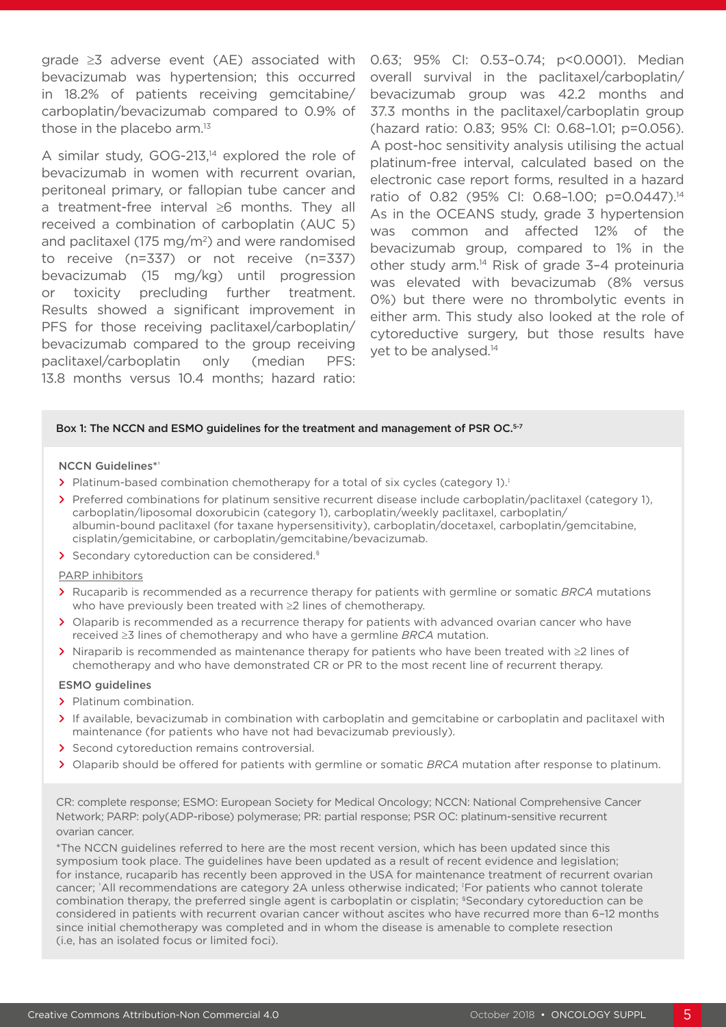grade ≥3 adverse event (AE) associated with bevacizumab was hypertension; this occurred in 18.2% of patients receiving gemcitabine/ carboplatin/bevacizumab compared to 0.9% of those in the placebo arm.<sup>13</sup>

A similar study, GOG-213,<sup>14</sup> explored the role of bevacizumab in women with recurrent ovarian, peritoneal primary, or fallopian tube cancer and a treatment-free interval ≥6 months. They all received a combination of carboplatin (AUC 5) and paclitaxel (175 mg/m<sup>2</sup>) and were randomised to receive (n=337) or not receive (n=337) bevacizumab (15 mg/kg) until progression or toxicity precluding further treatment. Results showed a significant improvement in PFS for those receiving paclitaxel/carboplatin/ bevacizumab compared to the group receiving paclitaxel/carboplatin only (median PFS: 13.8 months versus 10.4 months; hazard ratio: 0.63; 95% CI: 0.53–0.74; p<0.0001). Median overall survival in the paclitaxel/carboplatin/ bevacizumab group was 42.2 months and 37.3 months in the paclitaxel/carboplatin group (hazard ratio: 0.83; 95% CI: 0.68–1.01; p=0.056). A post-hoc sensitivity analysis utilising the actual platinum-free interval, calculated based on the electronic case report forms, resulted in a hazard ratio of 0.82 (95% CI: 0.68-1.00; p=0.0447).<sup>14</sup> As in the OCEANS study, grade 3 hypertension was common and affected 12% of the bevacizumab group, compared to 1% in the other study arm.14 Risk of grade 3–4 proteinuria was elevated with bevacizumab (8% versus 0%) but there were no thrombolytic events in either arm. This study also looked at the role of cytoreductive surgery, but those results have yet to be analysed.<sup>14</sup>

#### Box 1: The NCCN and ESMO guidelines for the treatment and management of PSR OC.<sup>5-7</sup>

#### NCCN Guidelines\*†

- **>** Platinum-based combination chemotherapy for a total of six cycles (category 1).‡
- **>** Preferred combinations for platinum sensitive recurrent disease include carboplatin/paclitaxel (category 1), carboplatin/liposomal doxorubicin (category 1), carboplatin/weekly paclitaxel, carboplatin/ albumin-bound paclitaxel (for taxane hypersensitivity), carboplatin/docetaxel, carboplatin/gemcitabine, cisplatin/gemicitabine, or carboplatin/gemcitabine/bevacizumab.
- **>** Secondary cytoreduction can be considered.§

PARP inhibitors

- **>** Rucaparib is recommended as a recurrence therapy for patients with germline or somatic *BRCA* mutations who have previously been treated with ≥2 lines of chemotherapy.
- **>** Olaparib is recommended as a recurrence therapy for patients with advanced ovarian cancer who have received ≥3 lines of chemotherapy and who have a germline *BRCA* mutation.
- **>** Niraparib is recommended as maintenance therapy for patients who have been treated with ≥2 lines of chemotherapy and who have demonstrated CR or PR to the most recent line of recurrent therapy.

#### ESMO guidelines

- **>** Platinum combination.
- > If available, bevacizumab in combination with carboplatin and gemcitabine or carboplatin and paclitaxel with maintenance (for patients who have not had bevacizumab previously).
- **>** Second cytoreduction remains controversial.
- **>** Olaparib should be offered for patients with germline or somatic *BRCA* mutation after response to platinum.

CR: complete response; ESMO: European Society for Medical Oncology; NCCN: National Comprehensive Cancer Network; PARP: poly(ADP-ribose) polymerase; PR: partial response; PSR OC: platinum-sensitive recurrent ovarian cancer.

\*The NCCN guidelines referred to here are the most recent version, which has been updated since this symposium took place. The guidelines have been updated as a result of recent evidence and legislation; for instance, rucaparib has recently been approved in the USA for maintenance treatment of recurrent ovarian cancer; 'All recommendations are category 2A unless otherwise indicated; 'For patients who cannot tolerate combination therapy, the preferred single agent is carboplatin or cisplatin; §Secondary cytoreduction can be considered in patients with recurrent ovarian cancer without ascites who have recurred more than 6–12 months since initial chemotherapy was completed and in whom the disease is amenable to complete resection (i.e, has an isolated focus or limited foci).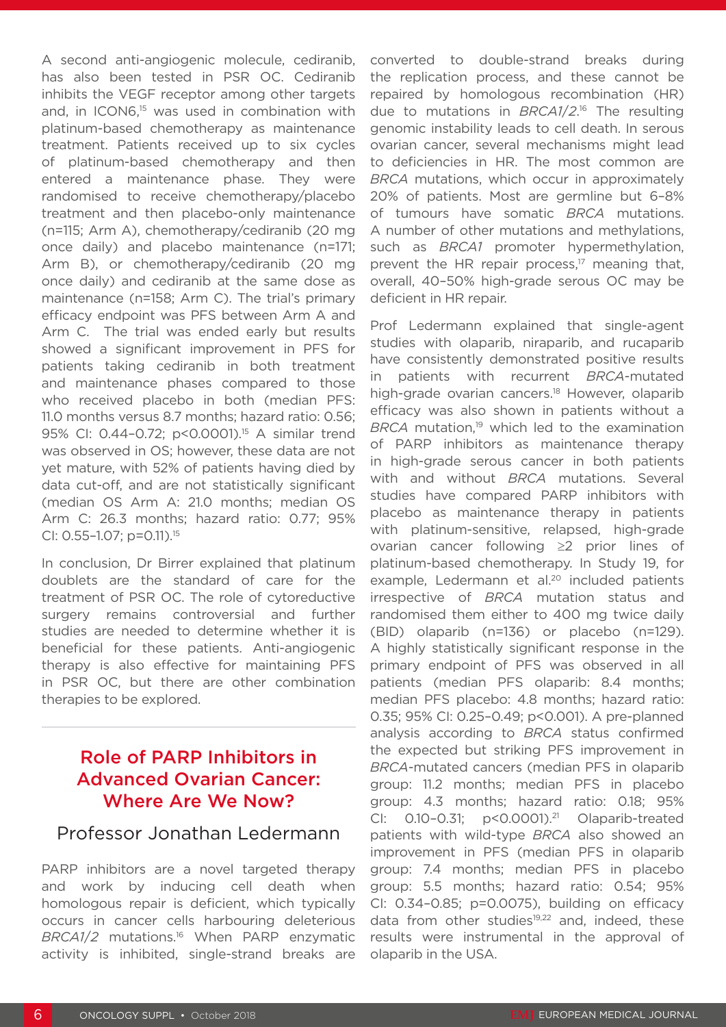A second anti-angiogenic molecule, cediranib, has also been tested in PSR OC. Cediranib inhibits the VEGF receptor among other targets and, in ICON6,<sup>15</sup> was used in combination with platinum-based chemotherapy as maintenance treatment. Patients received up to six cycles of platinum-based chemotherapy and then entered a maintenance phase. They were randomised to receive chemotherapy/placebo treatment and then placebo-only maintenance (n=115; Arm A), chemotherapy/cediranib (20 mg once daily) and placebo maintenance (n=171; Arm B), or chemotherapy/cediranib (20 mg once daily) and cediranib at the same dose as maintenance (n=158; Arm C). The trial's primary efficacy endpoint was PFS between Arm A and Arm C. The trial was ended early but results showed a significant improvement in PFS for patients taking cediranib in both treatment and maintenance phases compared to those who received placebo in both (median PFS: 11.0 months versus 8.7 months; hazard ratio: 0.56; 95% CI: 0.44-0.72; p<0.0001).<sup>15</sup> A similar trend was observed in OS; however, these data are not yet mature, with 52% of patients having died by data cut-off, and are not statistically significant (median OS Arm A: 21.0 months; median OS Arm C: 26.3 months; hazard ratio: 0.77; 95% CI: 0.55–1.07; p=0.11).15

In conclusion, Dr Birrer explained that platinum doublets are the standard of care for the treatment of PSR OC. The role of cytoreductive surgery remains controversial and further studies are needed to determine whether it is beneficial for these patients. Anti-angiogenic therapy is also effective for maintaining PFS in PSR OC, but there are other combination therapies to be explored.

# Role of PARP Inhibitors in Advanced Ovarian Cancer: Where Are We Now?

### Professor Jonathan Ledermann

PARP inhibitors are a novel targeted therapy and work by inducing cell death when homologous repair is deficient, which typically occurs in cancer cells harbouring deleterious *BRCA1*/*2* mutations.16 When PARP enzymatic activity is inhibited, single-strand breaks are

converted to double-strand breaks during the replication process, and these cannot be repaired by homologous recombination (HR) due to mutations in *BRCA1*/*2*. 16 The resulting genomic instability leads to cell death. In serous ovarian cancer, several mechanisms might lead to deficiencies in HR. The most common are *BRCA* mutations, which occur in approximately 20% of patients. Most are germline but 6–8% of tumours have somatic *BRCA* mutations. A number of other mutations and methylations, such as *BRCA1* promoter hypermethylation, prevent the HR repair process, $17$  meaning that, overall, 40–50% high-grade serous OC may be deficient in HR repair.

Prof Ledermann explained that single-agent studies with olaparib, niraparib, and rucaparib have consistently demonstrated positive results in patients with recurrent *BRCA*-mutated high-grade ovarian cancers.<sup>18</sup> However, olaparib efficacy was also shown in patients without a BRCA mutation.<sup>19</sup> which led to the examination of PARP inhibitors as maintenance therapy in high-grade serous cancer in both patients with and without *BRCA* mutations. Several studies have compared PARP inhibitors with placebo as maintenance therapy in patients with platinum-sensitive, relapsed, high-grade ovarian cancer following ≥2 prior lines of platinum-based chemotherapy. In Study 19, for example, Ledermann et al.<sup>20</sup> included patients irrespective of *BRCA* mutation status and randomised them either to 400 mg twice daily (BID) olaparib (n=136) or placebo (n=129). A highly statistically significant response in the primary endpoint of PFS was observed in all patients (median PFS olaparib: 8.4 months; median PFS placebo: 4.8 months; hazard ratio: 0.35; 95% CI: 0.25–0.49; p<0.001). A pre-planned analysis according to *BRCA* status confirmed the expected but striking PFS improvement in *BRCA*-mutated cancers (median PFS in olaparib group: 11.2 months; median PFS in placebo group: 4.3 months; hazard ratio: 0.18; 95% CI: 0.10–0.31; p<0.0001).21 Olaparib-treated patients with wild-type *BRCA* also showed an improvement in PFS (median PFS in olaparib group: 7.4 months; median PFS in placebo group: 5.5 months; hazard ratio: 0.54; 95% CI: 0.34–0.85; p=0.0075), building on efficacy data from other studies<sup>19,22</sup> and, indeed, these results were instrumental in the approval of olaparib in the USA.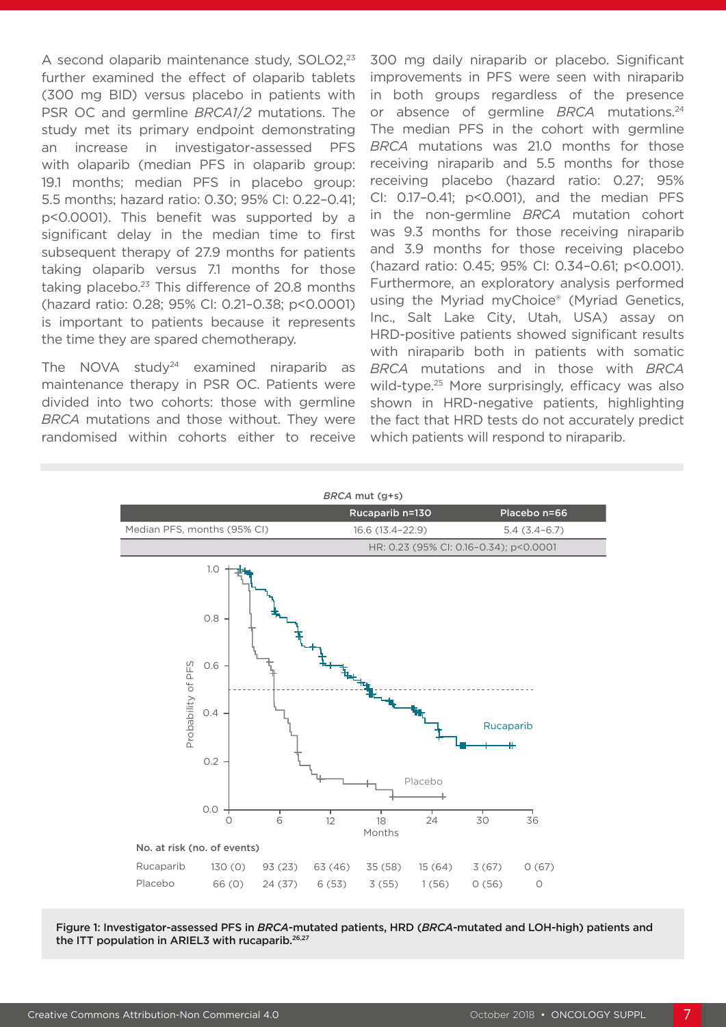A second olaparib maintenance study, SOLO2,<sup>23</sup> further examined the effect of olaparib tablets (300 mg BID) versus placebo in patients with PSR OC and germline *BRCA1*/*2* mutations. The study met its primary endpoint demonstrating an increase in investigator-assessed PFS with olaparib (median PFS in olaparib group: 19.1 months; median PFS in placebo group: 5.5 months; hazard ratio: 0.30; 95% CI: 0.22–0.41; p<0.0001). This benefit was supported by a significant delay in the median time to first subsequent therapy of 27.9 months for patients taking olaparib versus 7.1 months for those taking placebo.<sup>23</sup> This difference of 20.8 months (hazard ratio: 0.28; 95% CI: 0.21–0.38; p<0.0001) is important to patients because it represents the time they are spared chemotherapy.

The NOVA study<sup>24</sup> examined niraparib as maintenance therapy in PSR OC. Patients were divided into two cohorts: those with germline *BRCA* mutations and those without. They were randomised within cohorts either to receive 300 mg daily niraparib or placebo. Significant improvements in PFS were seen with niraparib in both groups regardless of the presence or absence of germline *BRCA* mutations.24 The median PFS in the cohort with germline *BRCA* mutations was 21.0 months for those receiving niraparib and 5.5 months for those receiving placebo (hazard ratio: 0.27; 95% CI: 0.17–0.41; p<0.001), and the median PFS in the non-germline *BRCA* mutation cohort was 9.3 months for those receiving niraparib and 3.9 months for those receiving placebo (hazard ratio: 0.45; 95% CI: 0.34–0.61; p<0.001). Furthermore, an exploratory analysis performed using the Myriad myChoice® (Myriad Genetics, Inc., Salt Lake City, Utah, USA) assay on HRD-positive patients showed significant results with niraparib both in patients with somatic *BRCA* mutations and in those with *BRCA* wild-type.<sup>25</sup> More surprisingly, efficacy was also shown in HRD-negative patients, highlighting the fact that HRD tests do not accurately predict which patients will respond to niraparib.



Figure 1: Investigator-assessed PFS in *BRCA*-mutated patients, HRD (*BRCA*-mutated and LOH-high) patients and the ITT population in ARIEL3 with rucaparib.<sup>26,27</sup>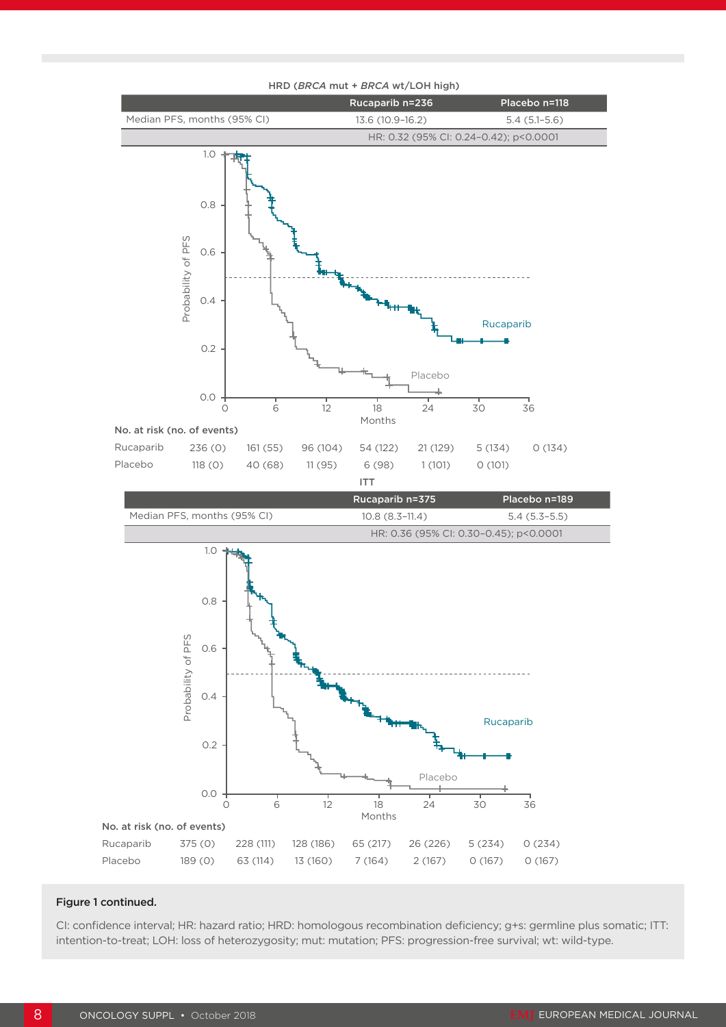

#### HRD (*BRCA* mut + *BRCA* wt/LOH high)

#### Figure 1 continued.

CI: confidence interval; HR: hazard ratio; HRD: homologous recombination deficiency; g+s: germline plus somatic; ITT: intention-to-treat; LOH: loss of heterozygosity; mut: mutation; PFS: progression-free survival; wt: wild-type.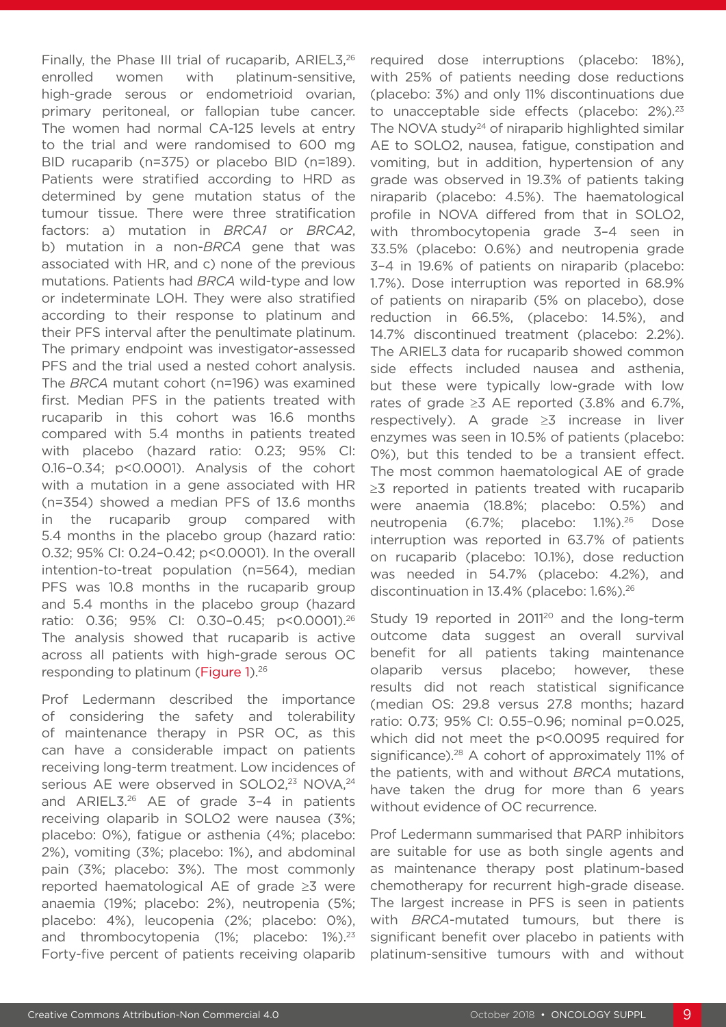Finally, the Phase III trial of rucaparib, ARIEL3,<sup>26</sup> enrolled women with platinum-sensitive, high-grade serous or endometrioid ovarian, primary peritoneal, or fallopian tube cancer. The women had normal CA-125 levels at entry to the trial and were randomised to 600 mg BID rucaparib (n=375) or placebo BID (n=189). Patients were stratified according to HRD as determined by gene mutation status of the tumour tissue. There were three stratification factors: a) mutation in *BRCA1* or *BRCA2*, b) mutation in a non-*BRCA* gene that was associated with HR, and c) none of the previous mutations. Patients had *BRCA* wild-type and low or indeterminate LOH. They were also stratified according to their response to platinum and their PFS interval after the penultimate platinum. The primary endpoint was investigator-assessed PFS and the trial used a nested cohort analysis. The *BRCA* mutant cohort (n=196) was examined first. Median PFS in the patients treated with rucaparib in this cohort was 16.6 months compared with 5.4 months in patients treated with placebo (hazard ratio: 0.23; 95% CI: 0.16–0.34; p<0.0001). Analysis of the cohort with a mutation in a gene associated with HR (n=354) showed a median PFS of 13.6 months in the rucaparib group compared with 5.4 months in the placebo group (hazard ratio: 0.32; 95% CI: 0.24–0.42; p<0.0001). In the overall intention-to-treat population (n=564), median PFS was 10.8 months in the rucaparib group and 5.4 months in the placebo group (hazard ratio: 0.36; 95% CI: 0.30–0.45; p<0.0001).26 The analysis showed that rucaparib is active across all patients with high-grade serous OC responding to platinum (Figure 1).26

Prof Ledermann described the importance of considering the safety and tolerability of maintenance therapy in PSR OC, as this can have a considerable impact on patients receiving long-term treatment. Low incidences of serious AE were observed in SOLO2,<sup>23</sup> NOVA,<sup>24</sup> and ARIEL3.26 AE of grade 3–4 in patients receiving olaparib in SOLO2 were nausea (3%; placebo: 0%), fatigue or asthenia (4%; placebo: 2%), vomiting (3%; placebo: 1%), and abdominal pain (3%; placebo: 3%). The most commonly reported haematological AE of grade ≥3 were anaemia (19%; placebo: 2%), neutropenia (5%; placebo: 4%), leucopenia (2%; placebo: 0%), and thrombocytopenia (1%; placebo: 1%).<sup>23</sup> Forty-five percent of patients receiving olaparib required dose interruptions (placebo: 18%), with 25% of patients needing dose reductions (placebo: 3%) and only 11% discontinuations due to unacceptable side effects (placebo: 2%).<sup>23</sup> The NOVA study<sup>24</sup> of niraparib highlighted similar AE to SOLO2, nausea, fatigue, constipation and vomiting, but in addition, hypertension of any grade was observed in 19.3% of patients taking niraparib (placebo: 4.5%). The haematological profile in NOVA differed from that in SOLO2, with thrombocytopenia grade 3–4 seen in 33.5% (placebo: 0.6%) and neutropenia grade 3–4 in 19.6% of patients on niraparib (placebo: 1.7%). Dose interruption was reported in 68.9% of patients on niraparib (5% on placebo), dose reduction in 66.5%, (placebo: 14.5%), and 14.7% discontinued treatment (placebo: 2.2%). The ARIEL3 data for rucaparib showed common side effects included nausea and asthenia, but these were typically low-grade with low rates of grade  $\geq$ 3 AE reported (3.8% and 6.7%, respectively). A grade ≥3 increase in liver enzymes was seen in 10.5% of patients (placebo: 0%), but this tended to be a transient effect. The most common haematological AE of grade ≥3 reported in patients treated with rucaparib were anaemia (18.8%; placebo: 0.5%) and neutropenia (6.7%; placebo: 1.1%).26 Dose interruption was reported in 63.7% of patients on rucaparib (placebo: 10.1%), dose reduction was needed in 54.7% (placebo: 4.2%), and discontinuation in 13.4% (placebo: 1.6%).26

Study 19 reported in 2011<sup>20</sup> and the long-term outcome data suggest an overall survival benefit for all patients taking maintenance olaparib versus placebo; however, these results did not reach statistical significance (median OS: 29.8 versus 27.8 months; hazard ratio: 0.73; 95% CI: 0.55–0.96; nominal p=0.025, which did not meet the p<0.0095 required for significance).<sup>28</sup> A cohort of approximately 11% of the patients, with and without *BRCA* mutations, have taken the drug for more than 6 years without evidence of OC recurrence.

Prof Ledermann summarised that PARP inhibitors are suitable for use as both single agents and as maintenance therapy post platinum-based chemotherapy for recurrent high-grade disease. The largest increase in PFS is seen in patients with *BRCA*-mutated tumours, but there is significant benefit over placebo in patients with platinum-sensitive tumours with and without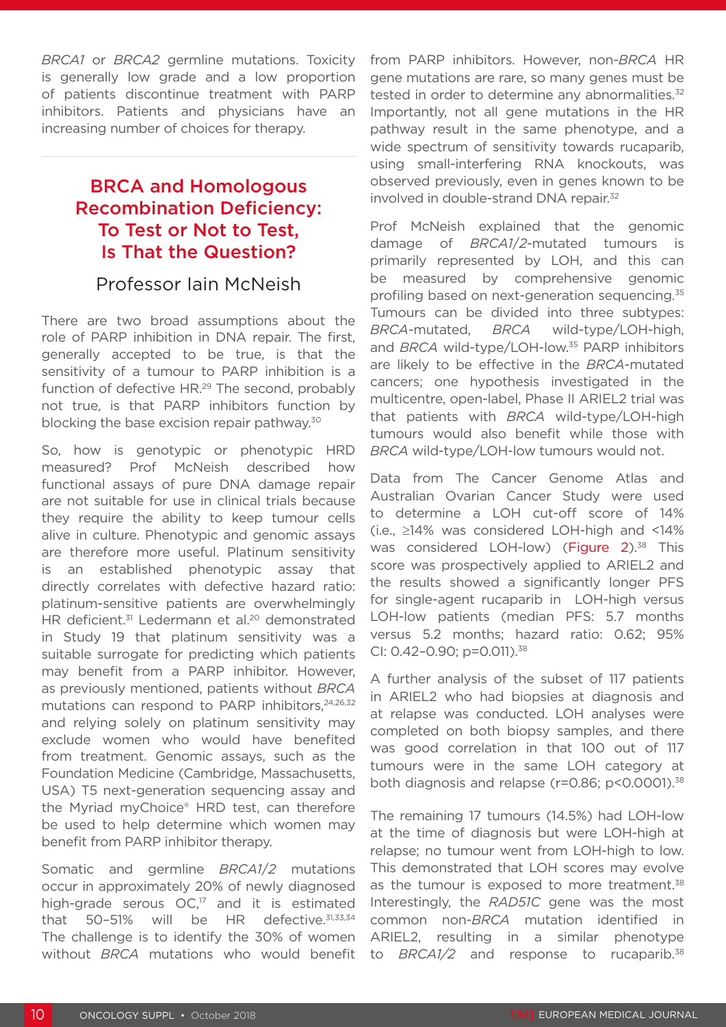*BRCA1* or *BRCA2* germline mutations. Toxicity is generally low grade and a low proportion of patients discontinue treatment with PARP inhibitors. Patients and physicians have an increasing number of choices for therapy.

# BRCA and Homologous Recombination Deficiency: To Test or Not to Test, Is That the Question?

### Professor Iain McNeish

There are two broad assumptions about the role of PARP inhibition in DNA repair. The first, generally accepted to be true, is that the sensitivity of a tumour to PARP inhibition is a function of defective HR.<sup>29</sup> The second, probably not true, is that PARP inhibitors function by blocking the base excision repair pathway.<sup>30</sup>

So, how is genotypic or phenotypic HRD measured? Prof McNeish described how functional assays of pure DNA damage repair are not suitable for use in clinical trials because they require the ability to keep tumour cells alive in culture. Phenotypic and genomic assays are therefore more useful. Platinum sensitivity is an established phenotypic assay that directly correlates with defective hazard ratio: platinum-sensitive patients are overwhelmingly HR deficient.<sup>31</sup> Ledermann et al.<sup>20</sup> demonstrated in Study 19 that platinum sensitivity was a suitable surrogate for predicting which patients may benefit from a PARP inhibitor. However, as previously mentioned, patients without *BRCA* mutations can respond to PARP inhibitors, 24,26,32 and relying solely on platinum sensitivity may exclude women who would have benefited from treatment. Genomic assays, such as the Foundation Medicine (Cambridge, Massachusetts, USA) T5 next-generation sequencing assay and the Myriad myChoice® HRD test, can therefore be used to help determine which women may benefit from PARP inhibitor therapy.

Somatic and germline *BRCA1*/*2* mutations occur in approximately 20% of newly diagnosed high-grade serous  $OC<sub>17</sub>$  and it is estimated that 50-51% will be HR defective.<sup>31,33,34</sup> The challenge is to identify the 30% of women without *BRCA* mutations who would benefit

from PARP inhibitors. However, non-*BRCA* HR gene mutations are rare, so many genes must be tested in order to determine any abnormalities.<sup>32</sup> Importantly, not all gene mutations in the HR pathway result in the same phenotype, and a wide spectrum of sensitivity towards rucaparib, using small-interfering RNA knockouts, was observed previously, even in genes known to be involved in double-strand DNA repair.<sup>32</sup>

Prof McNeish explained that the genomic damage of *BRCA1*/*2*-mutated tumours is primarily represented by LOH, and this can be measured by comprehensive genomic profiling based on next-generation sequencing.<sup>35</sup> Tumours can be divided into three subtypes: *BRCA*-mutated, *BRCA* wild-type/LOH-high, and *BRCA* wild-type/LOH-low.<sup>35</sup> PARP inhibitors are likely to be effective in the *BRCA*-mutated cancers; one hypothesis investigated in the multicentre, open-label, Phase II ARIEL2 trial was that patients with *BRCA* wild-type/LOH-high tumours would also benefit while those with *BRCA* wild-type/LOH-low tumours would not.

Data from The Cancer Genome Atlas and Australian Ovarian Cancer Study were used to determine a LOH cut-off score of 14% (i.e., ≥14% was considered LOH-high and <14% was considered LOH-low) (Figure 2).<sup>38</sup> This score was prospectively applied to ARIEL2 and the results showed a significantly longer PFS for single-agent rucaparib in LOH-high versus LOH-low patients (median PFS: 5.7 months versus 5.2 months; hazard ratio: 0.62; 95% CI:  $0.42 - 0.90$ ; p=0.011).<sup>38</sup>

A further analysis of the subset of 117 patients in ARIEL2 who had biopsies at diagnosis and at relapse was conducted. LOH analyses were completed on both biopsy samples, and there was good correlation in that 100 out of 117 tumours were in the same LOH category at both diagnosis and relapse (r=0.86; p<0.0001).<sup>38</sup>

The remaining 17 tumours (14.5%) had LOH-low at the time of diagnosis but were LOH-high at relapse; no tumour went from LOH-high to low. This demonstrated that LOH scores may evolve as the tumour is exposed to more treatment.<sup>38</sup> Interestingly, the *RAD51C* gene was the most common non-*BRCA* mutation identified in ARIEL2, resulting in a similar phenotype to *BRCA1/2* and response to rucaparib.<sup>38</sup>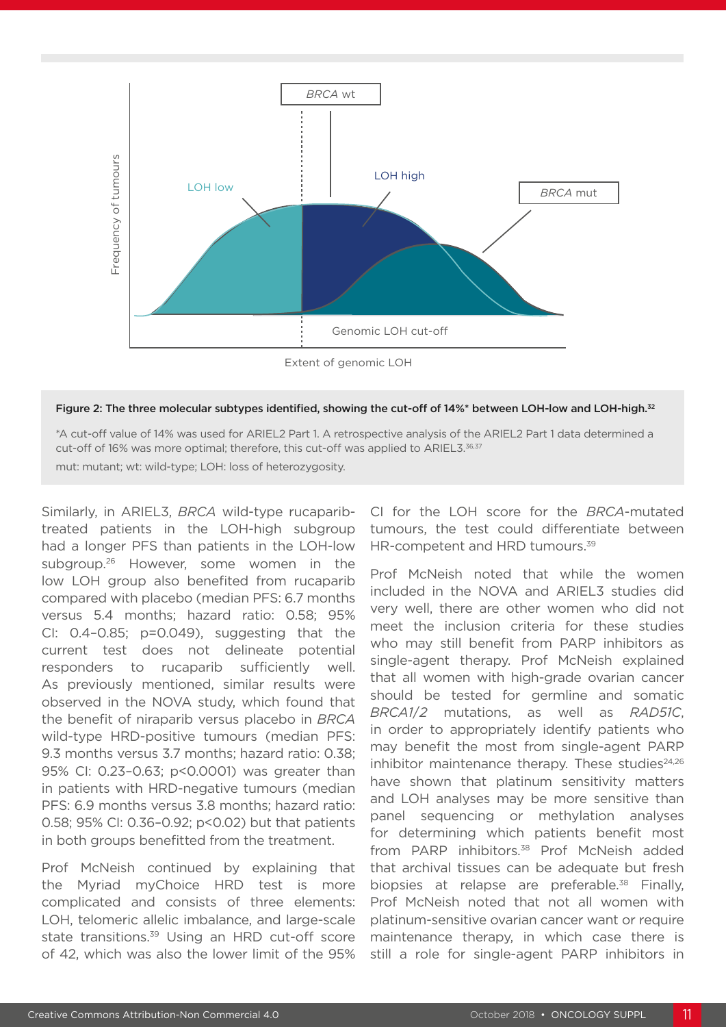



\*A cut-off value of 14% was used for ARIEL2 Part 1. A retrospective analysis of the ARIEL2 Part 1 data determined a cut-off of 16% was more optimal; therefore, this cut-off was applied to ARIEL3.36,37 mut: mutant; wt: wild-type; LOH: loss of heterozygosity.

Similarly, in ARIEL3, *BRCA* wild-type rucaparibtreated patients in the LOH-high subgroup had a longer PFS than patients in the LOH-low subgroup.<sup>26</sup> However, some women in the low LOH group also benefited from rucaparib compared with placebo (median PFS: 6.7 months versus 5.4 months; hazard ratio: 0.58; 95% CI: 0.4–0.85; p=0.049), suggesting that the current test does not delineate potential responders to rucaparib sufficiently well. As previously mentioned, similar results were observed in the NOVA study, which found that the benefit of niraparib versus placebo in *BRCA* wild-type HRD-positive tumours (median PFS: 9.3 months versus 3.7 months; hazard ratio: 0.38; 95% CI: 0.23–0.63; p<0.0001) was greater than in patients with HRD-negative tumours (median PFS: 6.9 months versus 3.8 months; hazard ratio: 0.58; 95% CI: 0.36–0.92; p<0.02) but that patients in both groups benefitted from the treatment.

Prof McNeish continued by explaining that the Myriad myChoice HRD test is more complicated and consists of three elements: LOH, telomeric allelic imbalance, and large-scale state transitions.<sup>39</sup> Using an HRD cut-off score of 42, which was also the lower limit of the 95%

CI for the LOH score for the *BRCA*-mutated tumours, the test could differentiate between HR-competent and HRD tumours.<sup>39</sup>

Prof McNeish noted that while the women included in the NOVA and ARIEL3 studies did very well, there are other women who did not meet the inclusion criteria for these studies who may still benefit from PARP inhibitors as single-agent therapy. Prof McNeish explained that all women with high-grade ovarian cancer should be tested for germline and somatic *BRCA1*/*2* mutations, as well as *RAD51C*, in order to appropriately identify patients who may benefit the most from single-agent PARP inhibitor maintenance therapy. These studies<sup>24,26</sup> have shown that platinum sensitivity matters and LOH analyses may be more sensitive than panel sequencing or methylation analyses for determining which patients benefit most from PARP inhibitors.<sup>38</sup> Prof McNeish added that archival tissues can be adequate but fresh biopsies at relapse are preferable.<sup>38</sup> Finally, Prof McNeish noted that not all women with platinum-sensitive ovarian cancer want or require maintenance therapy, in which case there is still a role for single-agent PARP inhibitors in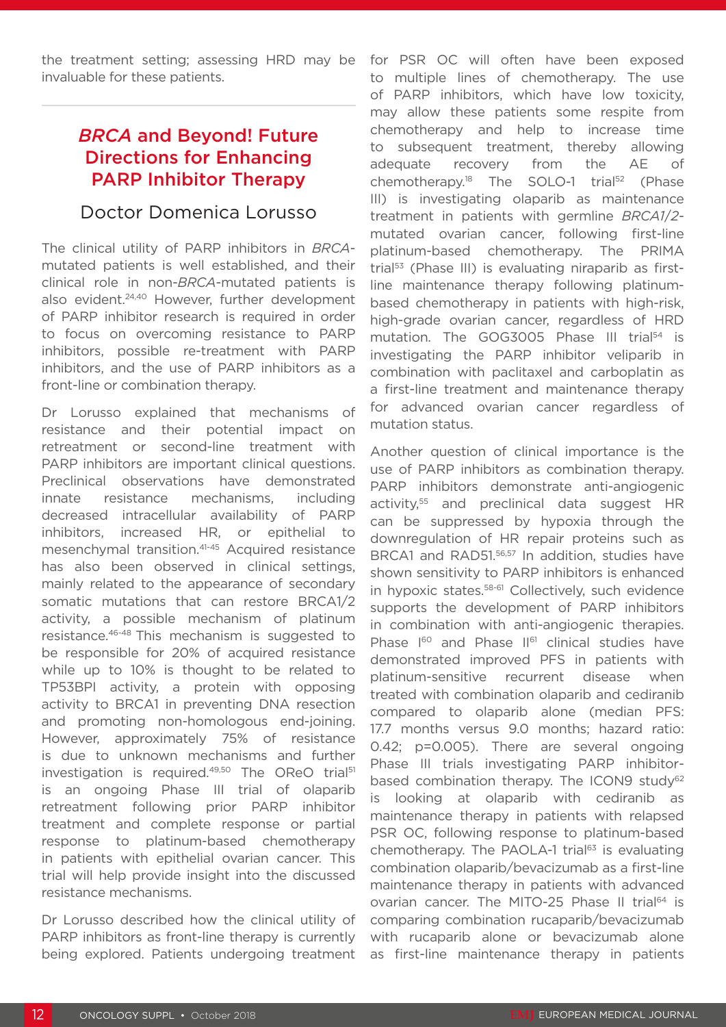the treatment setting; assessing HRD may be invaluable for these patients.

# *BRCA* and Beyond! Future Directions for Enhancing PARP Inhibitor Therapy

### Doctor Domenica Lorusso

The clinical utility of PARP inhibitors in *BRCA*mutated patients is well established, and their clinical role in non-*BRCA*-mutated patients is also evident.<sup>24,40</sup> However, further development of PARP inhibitor research is required in order to focus on overcoming resistance to PARP inhibitors, possible re-treatment with PARP inhibitors, and the use of PARP inhibitors as a front-line or combination therapy.

Dr Lorusso explained that mechanisms of resistance and their potential impact on retreatment or second-line treatment with PARP inhibitors are important clinical questions. Preclinical observations have demonstrated innate resistance mechanisms, including decreased intracellular availability of PARP inhibitors, increased HR, or epithelial to mesenchymal transition.41-45 Acquired resistance has also been observed in clinical settings, mainly related to the appearance of secondary somatic mutations that can restore BRCA1/2 activity, a possible mechanism of platinum resistance.46-48 This mechanism is suggested to be responsible for 20% of acquired resistance while up to 10% is thought to be related to TP53BPI activity, a protein with opposing activity to BRCA1 in preventing DNA resection and promoting non-homologous end-joining. However, approximately 75% of resistance is due to unknown mechanisms and further investigation is required.<sup>49,50</sup> The OReO trial<sup>51</sup> is an ongoing Phase III trial of olaparib retreatment following prior PARP inhibitor treatment and complete response or partial response to platinum-based chemotherapy in patients with epithelial ovarian cancer. This trial will help provide insight into the discussed resistance mechanisms.

Dr Lorusso described how the clinical utility of PARP inhibitors as front-line therapy is currently being explored. Patients undergoing treatment

for PSR OC will often have been exposed to multiple lines of chemotherapy. The use of PARP inhibitors, which have low toxicity, may allow these patients some respite from chemotherapy and help to increase time to subsequent treatment, thereby allowing adequate recovery from the AE of chemotherapy.18 The SOLO-1 trial52 (Phase III) is investigating olaparib as maintenance treatment in patients with germline *BRCA1*/*2* mutated ovarian cancer, following first-line platinum-based chemotherapy. The PRIMA trial<sup>53</sup> (Phase III) is evaluating niraparib as firstline maintenance therapy following platinumbased chemotherapy in patients with high-risk, high-grade ovarian cancer, regardless of HRD mutation. The GOG3005 Phase III trial<sup>54</sup> is investigating the PARP inhibitor veliparib in combination with paclitaxel and carboplatin as a first-line treatment and maintenance therapy for advanced ovarian cancer regardless of mutation status.

Another question of clinical importance is the use of PARP inhibitors as combination therapy. PARP inhibitors demonstrate anti-angiogenic activity,<sup>55</sup> and preclinical data suggest HR can be suppressed by hypoxia through the downregulation of HR repair proteins such as BRCA1 and RAD51.<sup>56,57</sup> In addition, studies have shown sensitivity to PARP inhibitors is enhanced in hypoxic states.<sup>58-61</sup> Collectively, such evidence supports the development of PARP inhibitors in combination with anti-angiogenic therapies. Phase I<sup>60</sup> and Phase II<sup>61</sup> clinical studies have demonstrated improved PFS in patients with platinum-sensitive recurrent disease when treated with combination olaparib and cediranib compared to olaparib alone (median PFS: 17.7 months versus 9.0 months; hazard ratio: 0.42; p=0.005). There are several ongoing Phase III trials investigating PARP inhibitorbased combination therapy. The ICON9 study<sup>62</sup> is looking at olaparib with cediranib as maintenance therapy in patients with relapsed PSR OC, following response to platinum-based chemotherapy. The PAOLA-1 trial $63$  is evaluating combination olaparib/bevacizumab as a first-line maintenance therapy in patients with advanced ovarian cancer. The MITO-25 Phase II trial<sup>64</sup> is comparing combination rucaparib/bevacizumab with rucaparib alone or bevacizumab alone as first-line maintenance therapy in patients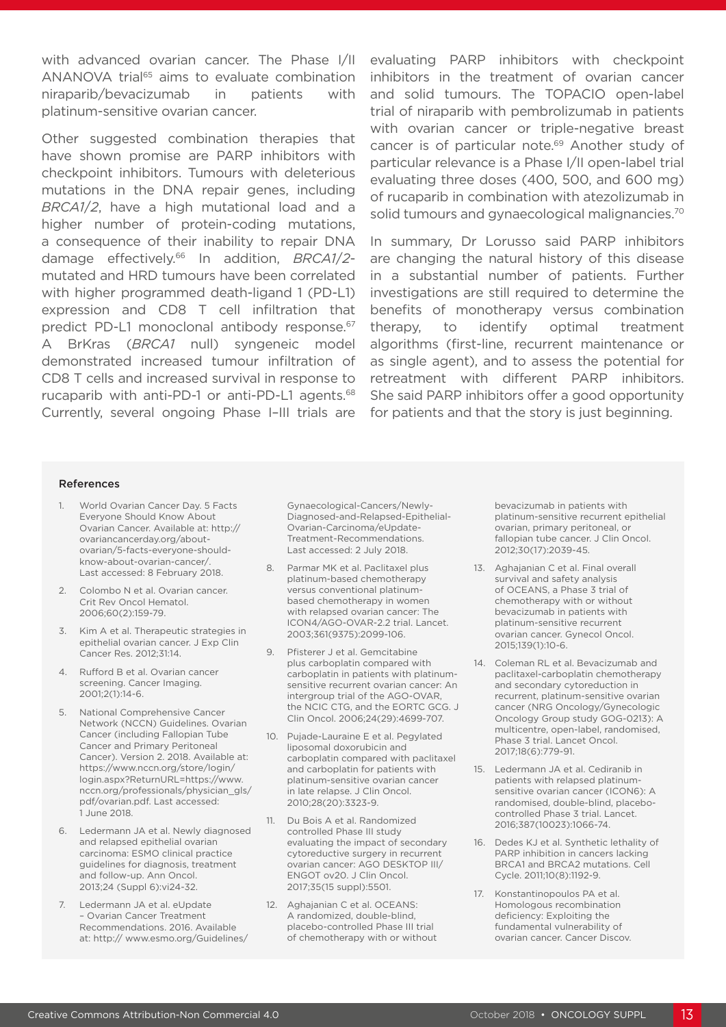with advanced ovarian cancer. The Phase I/II ANANOVA trial<sup>65</sup> aims to evaluate combination niraparib/bevacizumab in patients with platinum-sensitive ovarian cancer.

Other suggested combination therapies that have shown promise are PARP inhibitors with checkpoint inhibitors. Tumours with deleterious mutations in the DNA repair genes, including *BRCA1*/*2*, have a high mutational load and a higher number of protein-coding mutations, a consequence of their inability to repair DNA damage effectively.66 In addition, *BRCA1*/*2* mutated and HRD tumours have been correlated with higher programmed death-ligand 1 (PD-L1) expression and CD8 T cell infiltration that predict PD-L1 monoclonal antibody response.<sup>67</sup> A BrKras (*BRCA1* null) syngeneic model demonstrated increased tumour infiltration of CD8 T cells and increased survival in response to rucaparib with anti-PD-1 or anti-PD-L1 agents.<sup>68</sup> Currently, several ongoing Phase I–III trials are

evaluating PARP inhibitors with checkpoint inhibitors in the treatment of ovarian cancer and solid tumours. The TOPACIO open-label trial of niraparib with pembrolizumab in patients with ovarian cancer or triple-negative breast cancer is of particular note.69 Another study of particular relevance is a Phase I/II open-label trial evaluating three doses (400, 500, and 600 mg) of rucaparib in combination with atezolizumab in solid tumours and gynaecological malignancies.<sup>70</sup>

In summary, Dr Lorusso said PARP inhibitors are changing the natural history of this disease in a substantial number of patients. Further investigations are still required to determine the benefits of monotherapy versus combination therapy, to identify optimal treatment algorithms (first-line, recurrent maintenance or as single agent), and to assess the potential for retreatment with different PARP inhibitors. She said PARP inhibitors offer a good opportunity for patients and that the story is just beginning.

#### References

- World Ovarian Cancer Day. 5 Facts Everyone Should Know About Ovarian Cancer. Available at: http:// ovariancancerday.org/aboutovarian/5-facts-everyone-shouldknow-about-ovarian-cancer/. Last accessed: 8 February 2018.
- 2. Colombo N et al. Ovarian cancer. Crit Rev Oncol Hematol. 2006;60(2):159-79.
- 3. Kim A et al. Therapeutic strategies in epithelial ovarian cancer. J Exp Clin Cancer Res. 2012;31:14.
- 4. Rufford B et al. Ovarian cancer screening. Cancer Imaging. 2001;2(1):14-6.
- 5. National Comprehensive Cancer Network (NCCN) Guidelines. Ovarian Cancer (including Fallopian Tube Cancer and Primary Peritoneal Cancer). Version 2. 2018. Available at: https://www.nccn.org/store/login/ login.aspx?ReturnURL=https://www. nccn.org/professionals/physician\_gls/ pdf/ovarian.pdf. Last accessed: 1 June 2018.
- 6. Ledermann JA et al. Newly diagnosed and relapsed epithelial ovarian carcinoma: ESMO clinical practice guidelines for diagnosis, treatment and follow-up. Ann Oncol. 2013;24 (Suppl 6):vi24-32.
- 7. Ledermann JA et al. eUpdate – Ovarian Cancer Treatment Recommendations. 2016. Available at: http:// www.esmo.org/Guidelines/

Gynaecological-Cancers/Newly-Diagnosed-and-Relapsed-Epithelial-Ovarian-Carcinoma/eUpdate-Treatment-Recommendations. Last accessed: 2 July 2018.

- 8. Parmar MK et al. Paclitaxel plus platinum-based chemotherapy versus conventional platinumbased chemotherapy in women with relapsed ovarian cancer: The ICON4/AGO-OVAR-2.2 trial. Lancet. 2003;361(9375):2099-106.
- 9. Pfisterer J et al. Gemcitabine plus carboplatin compared with carboplatin in patients with platinumsensitive recurrent ovarian cancer: An intergroup trial of the AGO-OVAR, the NCIC CTG, and the EORTC GCG. J Clin Oncol. 2006;24(29):4699-707.
- 10. Pujade-Lauraine E et al. Pegylated liposomal doxorubicin and carboplatin compared with paclitaxel and carboplatin for patients with platinum-sensitive ovarian cancer in late relapse. J Clin Oncol. 2010;28(20):3323-9.
- 11. Du Bois A et al. Randomized controlled Phase III study evaluating the impact of secondary cytoreductive surgery in recurrent ovarian cancer: AGO DESKTOP III/ ENGOT ov20. J Clin Oncol. 2017;35(15 suppl):5501.
- 12. Aghajanian C et al. OCEANS: A randomized, double-blind, placebo-controlled Phase III trial of chemotherapy with or without

bevacizumab in patients with platinum-sensitive recurrent epithelial ovarian, primary peritoneal, or fallopian tube cancer. J Clin Oncol. 2012;30(17):2039-45.

- 13. Aghajanian C et al. Final overall survival and safety analysis of OCEANS, a Phase 3 trial of chemotherapy with or without bevacizumab in patients with platinum-sensitive recurrent ovarian cancer. Gynecol Oncol. 2015;139(1):10-6.
- 14. Coleman RL et al. Bevacizumab and paclitaxel-carboplatin chemotherapy and secondary cytoreduction in recurrent, platinum-sensitive ovarian cancer (NRG Oncology/Gynecologic Oncology Group study GOG-0213): A multicentre, open-label, randomised, Phase 3 trial. Lancet Oncol. 2017;18(6):779-91.
- 15. Ledermann JA et al. Cediranib in patients with relapsed platinumsensitive ovarian cancer (ICON6): A randomised, double-blind, placebocontrolled Phase 3 trial. Lancet. 2016;387(10023):1066-74.
- 16. Dedes KJ et al. Synthetic lethality of PARP inhibition in cancers lacking BRCA1 and BRCA2 mutations. Cell Cycle. 2011;10(8):1192-9.
- 17. Konstantinopoulos PA et al. Homologous recombination deficiency: Exploiting the fundamental vulnerability of ovarian cancer. Cancer Discov.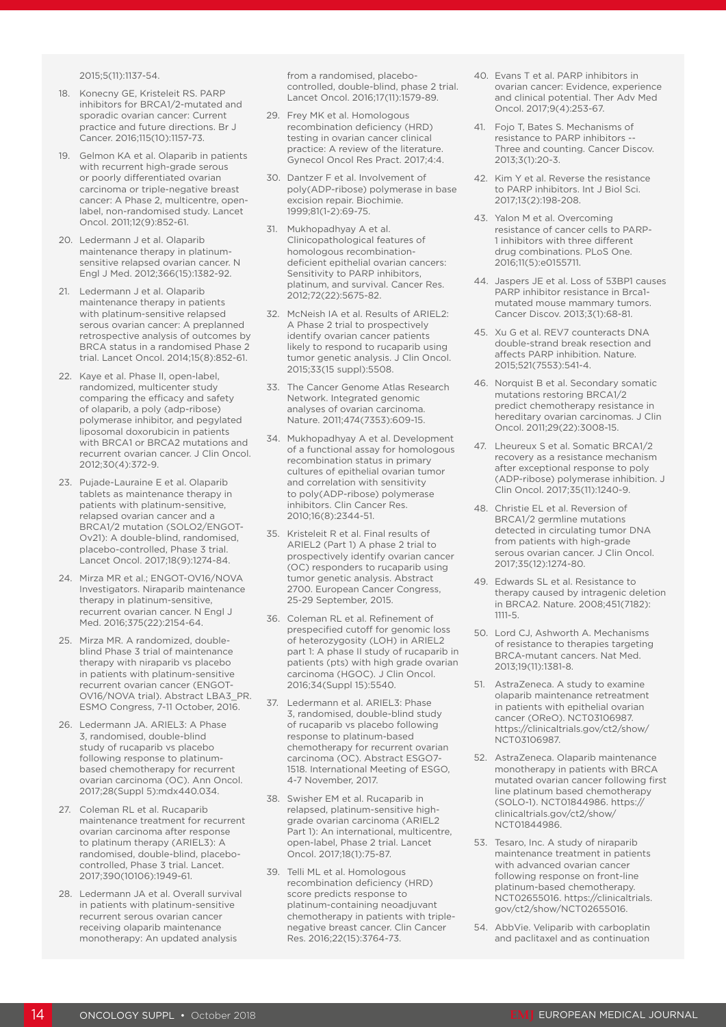2015;5(11):1137-54.

- 18. Konecny GE, Kristeleit RS. PARP inhibitors for BRCA1/2-mutated and sporadic ovarian cancer: Current practice and future directions. Br J Cancer. 2016;115(10):1157-73.
- 19. Gelmon KA et al. Olaparib in patients with recurrent high-grade serous or poorly differentiated ovarian carcinoma or triple-negative breast cancer: A Phase 2, multicentre, openlabel, non-randomised study. Lancet Oncol. 2011;12(9):852-61.
- 20. Ledermann J et al. Olaparib maintenance therapy in platinumsensitive relapsed ovarian cancer. N Engl J Med. 2012;366(15):1382-92.
- 21. Ledermann J et al. Olaparib maintenance therapy in patients with platinum-sensitive relapsed serous ovarian cancer: A preplanned retrospective analysis of outcomes by BRCA status in a randomised Phase 2 trial. Lancet Oncol. 2014;15(8):852-61.
- 22. Kaye et al. Phase II, open-label, randomized, multicenter study comparing the efficacy and safety of olaparib, a poly (adp-ribose) polymerase inhibitor, and pegylated liposomal doxorubicin in patients with BRCA1 or BRCA2 mutations and recurrent ovarian cancer. J Clin Oncol. 2012;30(4):372-9.
- 23. Pujade-Lauraine E et al. Olaparib tablets as maintenance therapy in patients with platinum-sensitive, relapsed ovarian cancer and a BRCA1/2 mutation (SOLO2/ENGOT-Ov21): A double-blind, randomised, placebo-controlled, Phase 3 trial. Lancet Oncol. 2017;18(9):1274-84.
- 24. Mirza MR et al.; ENGOT-OV16/NOVA Investigators. Niraparib maintenance therapy in platinum-sensitive, recurrent ovarian cancer. N Engl J Med. 2016;375(22):2154-64.
- 25. Mirza MR. A randomized, doubleblind Phase 3 trial of maintenance therapy with niraparib vs placebo in patients with platinum-sensitive recurrent ovarian cancer (ENGOT-OV16/NOVA trial). Abstract LBA3\_PR. ESMO Congress, 7-11 October, 2016.
- 26. Ledermann JA. ARIEL3: A Phase 3, randomised, double-blind study of rucaparib vs placebo following response to platinumbased chemotherapy for recurrent ovarian carcinoma (OC). Ann Oncol. 2017;28(Suppl 5):mdx440.034.
- 27. Coleman RL et al. Rucaparib maintenance treatment for recurrent ovarian carcinoma after response to platinum therapy (ARIEL3): A randomised, double-blind, placebocontrolled, Phase 3 trial. Lancet. 2017;390(10106):1949-61.
- 28. Ledermann JA et al. Overall survival in patients with platinum-sensitive recurrent serous ovarian cancer receiving olaparib maintenance monotherapy: An updated analysis

from a randomised, placebocontrolled, double-blind, phase 2 trial. Lancet Oncol. 2016;17(11):1579-89.

- 29. Frey MK et al. Homologous recombination deficiency (HRD) testing in ovarian cancer clinical practice: A review of the literature. Gynecol Oncol Res Pract. 2017;4:4.
- 30. Dantzer F et al. Involvement of poly(ADP-ribose) polymerase in base excision repair. Biochimie. 1999;81(1-2):69-75.
- 31. Mukhopadhyay A et al. Clinicopathological features of homologous recombinationdeficient epithelial ovarian cancers: Sensitivity to PARP inhibitors, platinum, and survival. Cancer Res. 2012;72(22):5675-82.
- 32. McNeish IA et al. Results of ARIEL2: A Phase 2 trial to prospectively identify ovarian cancer patients likely to respond to rucaparib using tumor genetic analysis. J Clin Oncol. 2015;33(15 suppl):5508.
- 33. The Cancer Genome Atlas Research Network. Integrated genomic analyses of ovarian carcinoma. Nature. 2011;474(7353):609-15.
- 34. Mukhopadhyay A et al. Development of a functional assay for homologous recombination status in primary cultures of epithelial ovarian tumor and correlation with sensitivity to poly(ADP-ribose) polymerase inhibitors. Clin Cancer Res. 2010;16(8):2344-51.
- 35. Kristeleit R et al. Final results of ARIEL2 (Part 1) A phase 2 trial to prospectively identify ovarian cancer (OC) responders to rucaparib using tumor genetic analysis. Abstract 2700. European Cancer Congress, 25-29 September, 2015.
- 36. Coleman RL et al. Refinement of prespecified cutoff for genomic loss of heterozygosity (LOH) in ARIEL2 part 1: A phase II study of rucaparib in patients (pts) with high grade ovarian carcinoma (HGOC). J Clin Oncol. 2016;34(Suppl 15):5540.
- 37. Ledermann et al. ARIEL3: Phase 3, randomised, double-blind study of rucaparib vs placebo following response to platinum-based chemotherapy for recurrent ovarian carcinoma (OC). Abstract ESGO7- 1518. International Meeting of ESGO, 4-7 November, 2017.
- 38. Swisher EM et al. Rucaparib in relapsed, platinum-sensitive highgrade ovarian carcinoma (ARIEL2 Part 1): An international, multicentre, open-label, Phase 2 trial. Lancet Oncol. 2017;18(1):75-87.
- 39. Telli ML et al. Homologous recombination deficiency (HRD) score predicts response to platinum-containing neoadjuvant chemotherapy in patients with triplenegative breast cancer. Clin Cancer Res. 2016;22(15):3764-73.
- 40. Evans T et al. PARP inhibitors in ovarian cancer: Evidence, experience and clinical potential. Ther Adv Med Oncol. 2017;9(4):253-67.
- 41. Fojo T, Bates S. Mechanisms of resistance to PARP inhibitors -- Three and counting. Cancer Discov. 2013;3(1):20-3.
- 42. Kim Y et al. Reverse the resistance to PARP inhibitors. Int J Biol Sci. 2017;13(2):198-208.
- 43. Yalon M et al. Overcoming resistance of cancer cells to PARP-1 inhibitors with three different drug combinations. PLoS One. 2016;11(5):e0155711.
- 44. Jaspers JE et al. Loss of 53BP1 causes PARP inhibitor resistance in Brca1 mutated mouse mammary tumors. Cancer Discov. 2013;3(1):68-81.
- 45. Xu G et al. REV7 counteracts DNA double-strand break resection and affects PARP inhibition. Nature. 2015;521(7553):541-4.
- 46. Norquist B et al. Secondary somatic mutations restoring BRCA1/2 predict chemotherapy resistance in hereditary ovarian carcinomas. J Clin Oncol. 2011;29(22):3008-15.
- 47. Lheureux S et al. Somatic BRCA1/2 recovery as a resistance mechanism after exceptional response to poly (ADP-ribose) polymerase inhibition. J Clin Oncol. 2017;35(11):1240-9.
- 48. Christie EL et al. Reversion of BRCA1/2 germline mutations detected in circulating tumor DNA from patients with high-grade serous ovarian cancer. J Clin Oncol. 2017;35(12):1274-80.
- 49. Edwards SL et al. Resistance to therapy caused by intragenic deletion in BRCA2. Nature. 2008;451(7182): 1111-5.
- 50. Lord CJ, Ashworth A. Mechanisms of resistance to therapies targeting BRCA-mutant cancers. Nat Med. 2013;19(11):1381-8.
- 51. AstraZeneca. A study to examine olaparib maintenance retreatment in patients with epithelial ovarian cancer (OReO). NCT03106987. https://clinicaltrials.gov/ct2/show/ NCT03106987.
- 52. AstraZeneca. Olaparib maintenance monotherapy in patients with BRCA mutated ovarian cancer following first line platinum based chemotherapy (SOLO-1). NCT01844986. https:// clinicaltrials.gov/ct2/show/ NCT01844986.
- 53. Tesaro, Inc. A study of niraparib maintenance treatment in patients with advanced ovarian cancer following response on front-line platinum-based chemotherapy. NCT02655016. https://clinicaltrials. gov/ct2/show/NCT02655016.
- 54. AbbVie. Veliparib with carboplatin and paclitaxel and as continuation